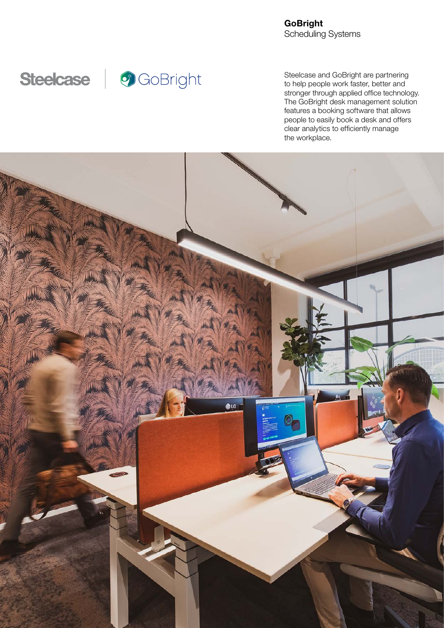**GoBright** Scheduling Systems



Steelcase and GoBright are partnering to help people work faster, better and stronger through applied office technology. The GoBright desk management solution features a booking software that allows people to easily book a desk and offers clear analytics to efficiently manage the workplace.